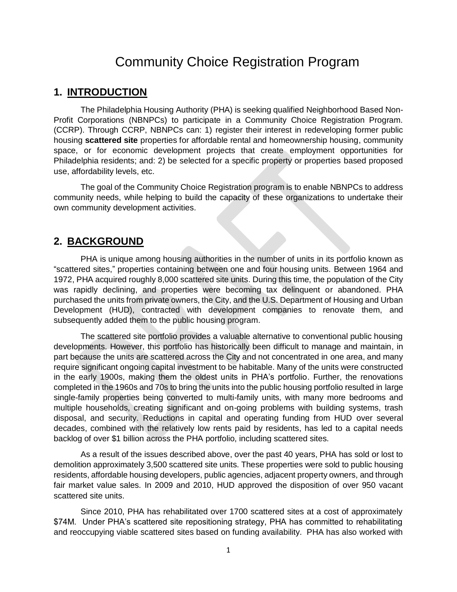# Community Choice Registration Program

## **1. INTRODUCTION**

The Philadelphia Housing Authority (PHA) is seeking qualified Neighborhood Based Non-Profit Corporations (NBNPCs) to participate in a Community Choice Registration Program. (CCRP). Through CCRP, NBNPCs can: 1) register their interest in redeveloping former public housing **scattered site** properties for affordable rental and homeownership housing, community space, or for economic development projects that create employment opportunities for Philadelphia residents; and: 2) be selected for a specific property or properties based proposed use, affordability levels, etc.

The goal of the Community Choice Registration program is to enable NBNPCs to address community needs, while helping to build the capacity of these organizations to undertake their own community development activities.

#### **2. BACKGROUND**

PHA is unique among housing authorities in the number of units in its portfolio known as "scattered sites," properties containing between one and four housing units. Between 1964 and 1972, PHA acquired roughly 8,000 scattered site units. During this time, the population of the City was rapidly declining, and properties were becoming tax delinquent or abandoned. PHA purchased the units from private owners, the City, and the U.S. Department of Housing and Urban Development (HUD), contracted with development companies to renovate them, and subsequently added them to the public housing program.

The scattered site portfolio provides a valuable alternative to conventional public housing developments. However, this portfolio has historically been difficult to manage and maintain, in part because the units are scattered across the City and not concentrated in one area, and many require significant ongoing capital investment to be habitable. Many of the units were constructed in the early 1900s, making them the oldest units in PHA's portfolio. Further, the renovations completed in the 1960s and 70s to bring the units into the public housing portfolio resulted in large single-family properties being converted to multi-family units, with many more bedrooms and multiple households, creating significant and on-going problems with building systems, trash disposal, and security. Reductions in capital and operating funding from HUD over several decades, combined with the relatively low rents paid by residents, has led to a capital needs backlog of over \$1 billion across the PHA portfolio, including scattered sites.

As a result of the issues described above, over the past 40 years, PHA has sold or lost to demolition approximately 3,500 scattered site units. These properties were sold to public housing residents, affordable housing developers, public agencies, adjacent property owners, and through fair market value sales. In 2009 and 2010, HUD approved the disposition of over 950 vacant scattered site units.

Since 2010, PHA has rehabilitated over 1700 scattered sites at a cost of approximately \$74M. Under PHA's scattered site repositioning strategy, PHA has committed to rehabilitating and reoccupying viable scattered sites based on funding availability. PHA has also worked with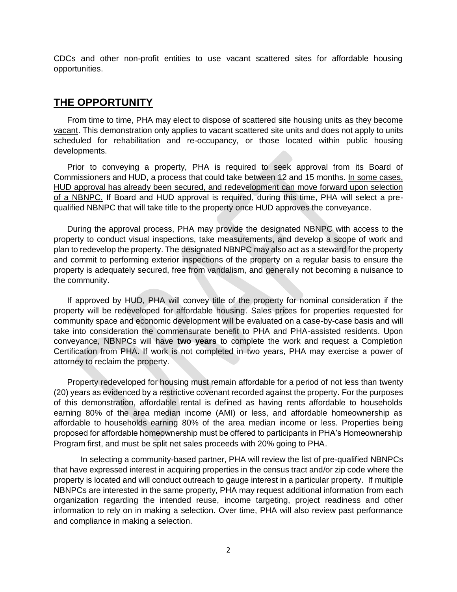CDCs and other non-profit entities to use vacant scattered sites for affordable housing opportunities.

## **THE OPPORTUNITY**

From time to time, PHA may elect to dispose of scattered site housing units as they become vacant. This demonstration only applies to vacant scattered site units and does not apply to units scheduled for rehabilitation and re-occupancy, or those located within public housing developments.

Prior to conveying a property, PHA is required to seek approval from its Board of Commissioners and HUD, a process that could take between 12 and 15 months. In some cases, HUD approval has already been secured, and redevelopment can move forward upon selection of a NBNPC. If Board and HUD approval is required, during this time, PHA will select a prequalified NBNPC that will take title to the property once HUD approves the conveyance.

During the approval process, PHA may provide the designated NBNPC with access to the property to conduct visual inspections, take measurements, and develop a scope of work and plan to redevelop the property. The designated NBNPC may also act as a steward for the property and commit to performing exterior inspections of the property on a regular basis to ensure the property is adequately secured, free from vandalism, and generally not becoming a nuisance to the community.

If approved by HUD, PHA will convey title of the property for nominal consideration if the property will be redeveloped for affordable housing. Sales prices for properties requested for community space and economic development will be evaluated on a case-by-case basis and will take into consideration the commensurate benefit to PHA and PHA-assisted residents. Upon conveyance, NBNPCs will have **two years** to complete the work and request a Completion Certification from PHA. If work is not completed in two years, PHA may exercise a power of attorney to reclaim the property.

Property redeveloped for housing must remain affordable for a period of not less than twenty (20) years as evidenced by a restrictive covenant recorded against the property. For the purposes of this demonstration, affordable rental is defined as having rents affordable to households earning 80% of the area median income (AMI) or less, and affordable homeownership as affordable to households earning 80% of the area median income or less. Properties being proposed for affordable homeownership must be offered to participants in PHA's Homeownership Program first, and must be split net sales proceeds with 20% going to PHA.

In selecting a community-based partner, PHA will review the list of pre-qualified NBNPCs that have expressed interest in acquiring properties in the census tract and/or zip code where the property is located and will conduct outreach to gauge interest in a particular property. If multiple NBNPCs are interested in the same property, PHA may request additional information from each organization regarding the intended reuse, income targeting, project readiness and other information to rely on in making a selection. Over time, PHA will also review past performance and compliance in making a selection.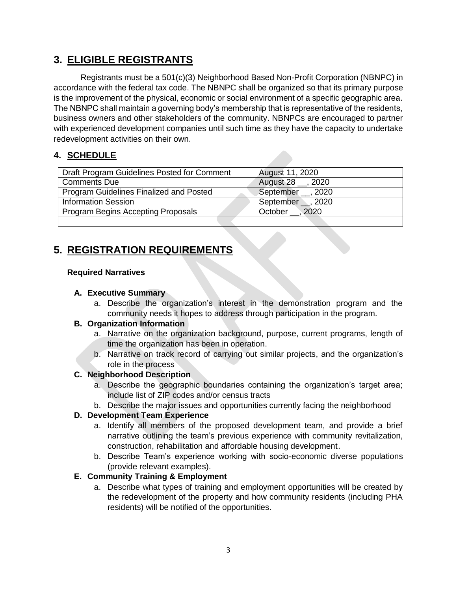## **3. ELIGIBLE REGISTRANTS**

Registrants must be a 501(c)(3) Neighborhood Based Non-Profit Corporation (NBNPC) in accordance with the federal tax code. The NBNPC shall be organized so that its primary purpose is the improvement of the physical, economic or social environment of a specific geographic area. The NBNPC shall maintain a governing body's membership that is representative of the residents, business owners and other stakeholders of the community. NBNPCs are encouraged to partner with experienced development companies until such time as they have the capacity to undertake redevelopment activities on their own.

## **4. SCHEDULE**

| Draft Program Guidelines Posted for Comment | August 11, 2020     |
|---------------------------------------------|---------------------|
| <b>Comments Due</b>                         | August 28 __, 2020  |
| Program Guidelines Finalized and Posted     | September __ , 2020 |
| <b>Information Session</b>                  | September _, 2020   |
| <b>Program Begins Accepting Proposals</b>   | October, 2020       |
|                                             |                     |

## **5. REGISTRATION REQUIREMENTS**

#### **Required Narratives**

#### **A. Executive Summary**

a. Describe the organization's interest in the demonstration program and the community needs it hopes to address through participation in the program.

#### **B. Organization Information**

- a. Narrative on the organization background, purpose, current programs, length of time the organization has been in operation.
- b. Narrative on track record of carrying out similar projects, and the organization's role in the process

### **C. Neighborhood Description**

- a. Describe the geographic boundaries containing the organization's target area; include list of ZIP codes and/or census tracts
- b. Describe the major issues and opportunities currently facing the neighborhood

### **D. Development Team Experience**

- a. Identify all members of the proposed development team, and provide a brief narrative outlining the team's previous experience with community revitalization, construction, rehabilitation and affordable housing development.
- b. Describe Team's experience working with socio-economic diverse populations (provide relevant examples).

### **E. Community Training & Employment**

a. Describe what types of training and employment opportunities will be created by the redevelopment of the property and how community residents (including PHA residents) will be notified of the opportunities.